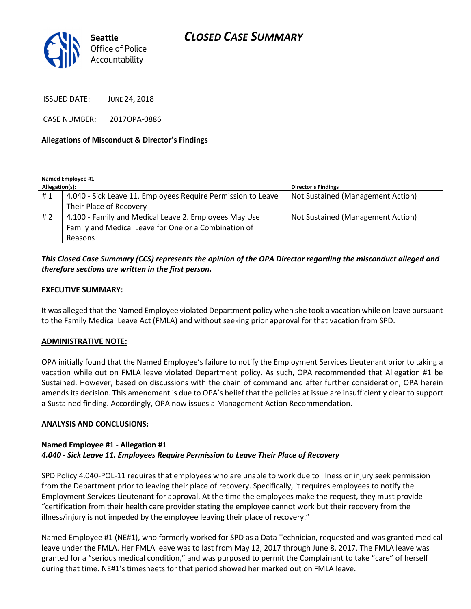# Seattle Office of Police Accountability

ISSUED DATE: JUNE 24, 2018

CASE NUMBER: 2017OPA-0886

## Allegations of Misconduct & Director's Findings

| Named Employee #1 |                                                              |                                   |
|-------------------|--------------------------------------------------------------|-----------------------------------|
| Allegation(s):    |                                                              | <b>Director's Findings</b>        |
| #1                | 4.040 - Sick Leave 11. Employees Require Permission to Leave | Not Sustained (Management Action) |
|                   | Their Place of Recovery                                      |                                   |
| #2                | 4.100 - Family and Medical Leave 2. Employees May Use        | Not Sustained (Management Action) |
|                   | Family and Medical Leave for One or a Combination of         |                                   |
|                   | Reasons                                                      |                                   |

# This Closed Case Summary (CCS) represents the opinion of the OPA Director regarding the misconduct alleged and therefore sections are written in the first person.

## EXECUTIVE SUMMARY:

It was alleged that the Named Employee violated Department policy when she took a vacation while on leave pursuant to the Family Medical Leave Act (FMLA) and without seeking prior approval for that vacation from SPD.

#### ADMINISTRATIVE NOTE:

OPA initially found that the Named Employee's failure to notify the Employment Services Lieutenant prior to taking a vacation while out on FMLA leave violated Department policy. As such, OPA recommended that Allegation #1 be Sustained. However, based on discussions with the chain of command and after further consideration, OPA herein amends its decision. This amendment is due to OPA's belief that the policies at issue are insufficiently clear to support a Sustained finding. Accordingly, OPA now issues a Management Action Recommendation.

#### ANALYSIS AND CONCLUSIONS:

#### Named Employee #1 - Allegation #1 4.040 - Sick Leave 11. Employees Require Permission to Leave Their Place of Recovery

SPD Policy 4.040-POL-11 requires that employees who are unable to work due to illness or injury seek permission from the Department prior to leaving their place of recovery. Specifically, it requires employees to notify the Employment Services Lieutenant for approval. At the time the employees make the request, they must provide "certification from their health care provider stating the employee cannot work but their recovery from the illness/injury is not impeded by the employee leaving their place of recovery."

Named Employee #1 (NE#1), who formerly worked for SPD as a Data Technician, requested and was granted medical leave under the FMLA. Her FMLA leave was to last from May 12, 2017 through June 8, 2017. The FMLA leave was granted for a "serious medical condition," and was purposed to permit the Complainant to take "care" of herself during that time. NE#1's timesheets for that period showed her marked out on FMLA leave.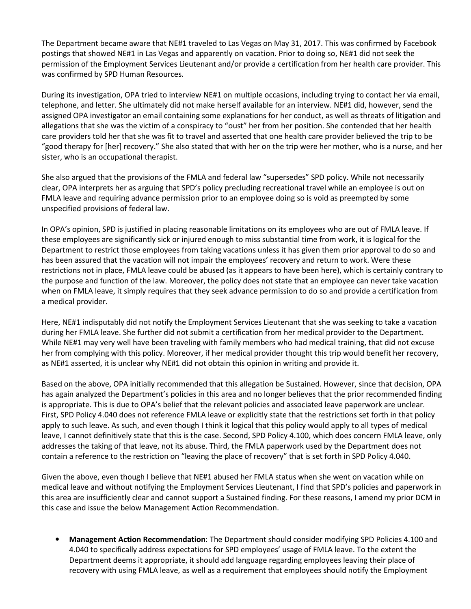The Department became aware that NE#1 traveled to Las Vegas on May 31, 2017. This was confirmed by Facebook postings that showed NE#1 in Las Vegas and apparently on vacation. Prior to doing so, NE#1 did not seek the permission of the Employment Services Lieutenant and/or provide a certification from her health care provider. This was confirmed by SPD Human Resources.

During its investigation, OPA tried to interview NE#1 on multiple occasions, including trying to contact her via email, telephone, and letter. She ultimately did not make herself available for an interview. NE#1 did, however, send the assigned OPA investigator an email containing some explanations for her conduct, as well as threats of litigation and allegations that she was the victim of a conspiracy to "oust" her from her position. She contended that her health care providers told her that she was fit to travel and asserted that one health care provider believed the trip to be "good therapy for [her] recovery." She also stated that with her on the trip were her mother, who is a nurse, and her sister, who is an occupational therapist.

She also argued that the provisions of the FMLA and federal law "supersedes" SPD policy. While not necessarily clear, OPA interprets her as arguing that SPD's policy precluding recreational travel while an employee is out on FMLA leave and requiring advance permission prior to an employee doing so is void as preempted by some unspecified provisions of federal law.

In OPA's opinion, SPD is justified in placing reasonable limitations on its employees who are out of FMLA leave. If these employees are significantly sick or injured enough to miss substantial time from work, it is logical for the Department to restrict those employees from taking vacations unless it has given them prior approval to do so and has been assured that the vacation will not impair the employees' recovery and return to work. Were these restrictions not in place, FMLA leave could be abused (as it appears to have been here), which is certainly contrary to the purpose and function of the law. Moreover, the policy does not state that an employee can never take vacation when on FMLA leave, it simply requires that they seek advance permission to do so and provide a certification from a medical provider.

Here, NE#1 indisputably did not notify the Employment Services Lieutenant that she was seeking to take a vacation during her FMLA leave. She further did not submit a certification from her medical provider to the Department. While NE#1 may very well have been traveling with family members who had medical training, that did not excuse her from complying with this policy. Moreover, if her medical provider thought this trip would benefit her recovery, as NE#1 asserted, it is unclear why NE#1 did not obtain this opinion in writing and provide it.

Based on the above, OPA initially recommended that this allegation be Sustained. However, since that decision, OPA has again analyzed the Department's policies in this area and no longer believes that the prior recommended finding is appropriate. This is due to OPA's belief that the relevant policies and associated leave paperwork are unclear. First, SPD Policy 4.040 does not reference FMLA leave or explicitly state that the restrictions set forth in that policy apply to such leave. As such, and even though I think it logical that this policy would apply to all types of medical leave, I cannot definitively state that this is the case. Second, SPD Policy 4.100, which does concern FMLA leave, only addresses the taking of that leave, not its abuse. Third, the FMLA paperwork used by the Department does not contain a reference to the restriction on "leaving the place of recovery" that is set forth in SPD Policy 4.040.

Given the above, even though I believe that NE#1 abused her FMLA status when she went on vacation while on medical leave and without notifying the Employment Services Lieutenant, I find that SPD's policies and paperwork in this area are insufficiently clear and cannot support a Sustained finding. For these reasons, I amend my prior DCM in this case and issue the below Management Action Recommendation.

• Management Action Recommendation: The Department should consider modifying SPD Policies 4.100 and 4.040 to specifically address expectations for SPD employees' usage of FMLA leave. To the extent the Department deems it appropriate, it should add language regarding employees leaving their place of recovery with using FMLA leave, as well as a requirement that employees should notify the Employment